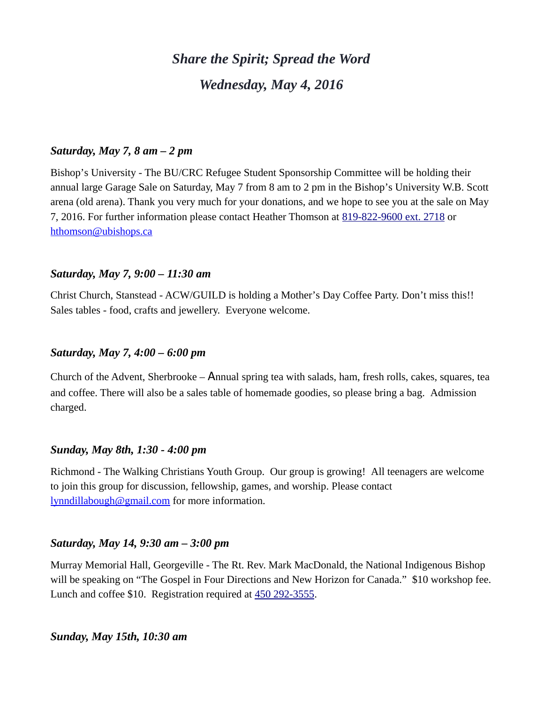# *Share the Spirit; Spread the Word Wednesday, May 4, 2016*

## *Saturday, May 7, 8 am – 2 pm*

Bishop's University - The BU/CRC Refugee Student Sponsorship Committee will be holding their annual large Garage Sale on Saturday, May 7 from 8 am to 2 pm in the Bishop's University W.B. Scott arena (old arena). Thank you very much for your donations, and we hope to see you at the sale on May 7, 2016. For further information please contact Heather Thomson at [819-822-9600 ext. 2718](tel:819-822-9600%20ext.%202718) or [hthomson@ubishops.ca](https://webmail.ubishops.ca/owa/redir.aspx?REF=FLnmocQHos1aSS6_izloWzXz-vn948huD0NonW8iwmC1KgSOCljTCAFtYWlsdG86aHRob21zb25AdWJpc2hvcHMuY2E.)

#### *Saturday, May 7, 9:00 – 11:30 am*

Christ Church, Stanstead - ACW/GUILD is holding a Mother's Day Coffee Party. Don't miss this!! Sales tables - food, crafts and jewellery. Everyone welcome.

## *Saturday, May 7, 4:00 – 6:00 pm*

Church of the Advent, Sherbrooke – Annual spring tea with salads, ham, fresh rolls, cakes, squares, tea and coffee. There will also be a sales table of homemade goodies, so please bring a bag. Admission charged.

#### *Sunday, May 8th, 1:30 - 4:00 pm*

Richmond - The Walking Christians Youth Group. Our group is growing! All teenagers are welcome to join this group for discussion, fellowship, games, and worship. Please contact [lynndillabough@gmail.com](https://webmail.ubishops.ca/owa/redir.aspx?REF=NTGHZBda4kbPNeYfbGRb6HgoD69E4VoJaguVXMRTEm2jm5WgJnTTCAFtYWlsdG86bHlubmRpbGxhYm91Z2hAZ21haWwuY29t) for more information.

#### *Saturday, May 14, 9:30 am – 3:00 pm*

Murray Memorial Hall, Georgeville - The Rt. Rev. Mark MacDonald, the National Indigenous Bishop will be speaking on "The Gospel in Four Directions and New Horizon for Canada." \$10 workshop fee. Lunch and coffee \$10. Registration required at [450 292-3555.](tel:450%20292-3555)

## *Sunday, May 15th, 10:30 am*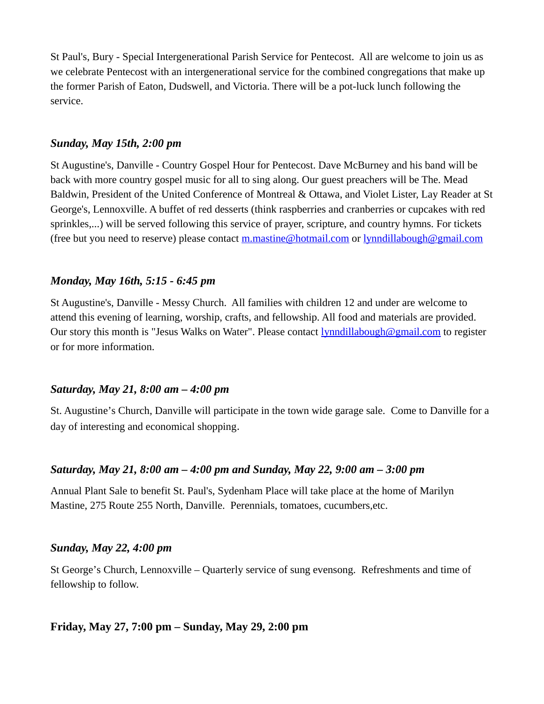St Paul's, Bury - Special Intergenerational Parish Service for Pentecost. All are welcome to join us as we celebrate Pentecost with an intergenerational service for the combined congregations that make up the former Parish of Eaton, Dudswell, and Victoria. There will be a pot-luck lunch following the service.

## *Sunday, May 15th, 2:00 pm*

St Augustine's, Danville - Country Gospel Hour for Pentecost. Dave McBurney and his band will be back with more country gospel music for all to sing along. Our guest preachers will be The. Mead Baldwin, President of the United Conference of Montreal & Ottawa, and Violet Lister, Lay Reader at St George's, Lennoxville. A buffet of red desserts (think raspberries and cranberries or cupcakes with red sprinkles,...) will be served following this service of prayer, scripture, and country hymns. For tickets (free but you need to reserve) please contact [m.mastine@hotmail.com](https://webmail.ubishops.ca/owa/redir.aspx?REF=GHr2Ns8uyutj425Pf0YNOIfexmx1TNvfzvpWtjxrKhWjm5WgJnTTCAFtYWlsdG86bS5tYXN0aW5lQGhvdG1haWwuY29t) or [lynndillabough@gmail.com](https://webmail.ubishops.ca/owa/redir.aspx?REF=NTGHZBda4kbPNeYfbGRb6HgoD69E4VoJaguVXMRTEm2jm5WgJnTTCAFtYWlsdG86bHlubmRpbGxhYm91Z2hAZ21haWwuY29t)

# *Monday, May 16th, 5:15 - 6:45 pm*

St Augustine's, Danville - Messy Church. All families with children 12 and under are welcome to attend this evening of learning, worship, crafts, and fellowship. All food and materials are provided. Our story this month is "Jesus Walks on Water". Please contact **lynndillabough@gmail.com** to register or for more information.

## *Saturday, May 21, 8:00 am – 4:00 pm*

St. Augustine's Church, Danville will participate in the town wide garage sale. Come to Danville for a day of interesting and economical shopping.

# *Saturday, May 21, 8:00 am – 4:00 pm and Sunday, May 22, 9:00 am – 3:00 pm*

Annual Plant Sale to benefit St. Paul's, Sydenham Place will take place at the home of Marilyn Mastine, 275 Route 255 North, Danville. Perennials, tomatoes, cucumbers,etc.

## *Sunday, May 22, 4:00 pm*

St George's Church, Lennoxville – Quarterly service of sung evensong. Refreshments and time of fellowship to follow.

# **Friday, May 27, 7:00 pm – Sunday, May 29, 2:00 pm**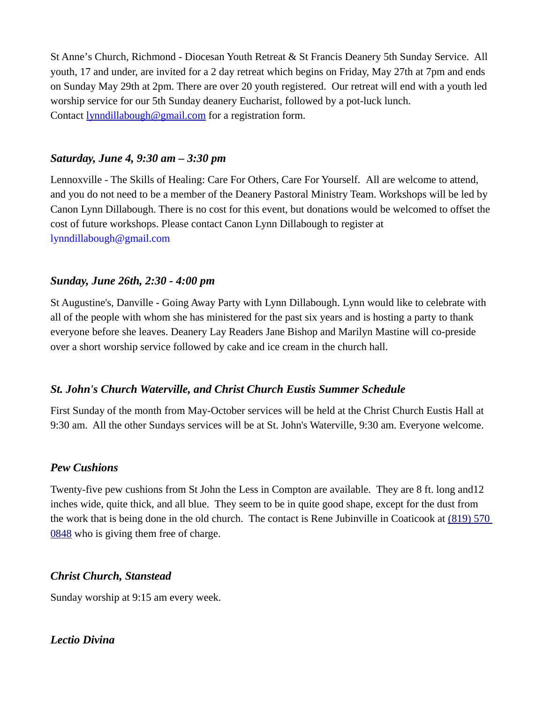St Anne's Church, Richmond - Diocesan Youth Retreat & St Francis Deanery 5th Sunday Service. All youth, 17 and under, are invited for a 2 day retreat which begins on Friday, May 27th at 7pm and ends on Sunday May 29th at 2pm. There are over 20 youth registered. Our retreat will end with a youth led worship service for our 5th Sunday deanery Eucharist, followed by a pot-luck lunch. Contact **[lynndillabough@gmail.com](https://webmail.ubishops.ca/owa/redir.aspx?REF=E0UZUrCIOcgLF1G_4qECzq3OrI1Fn6f2O_cEChPNSZXMHau5IF7TCAFtYWlsdG86bHlubmRpbGxhYm91Z2hAZ21haWwuY29t)** for a registration form.

#### *Saturday, June 4, 9:30 am – 3:30 pm*

Lennoxville - The Skills of Healing: Care For Others, Care For Yourself. All are welcome to attend, and you do not need to be a member of the Deanery Pastoral Ministry Team. Workshops will be led by Canon Lynn Dillabough. There is no cost for this event, but donations would be welcomed to offset the cost of future workshops. Please contact Canon Lynn Dillabough to register at [lynndillabough@gmail.com](https://webmail.ubishops.ca/owa/redir.aspx?SURL=hdjYUT7WCUNYqFZijozknMHWJ3aRy6vsqTzrilp56ZtP3_2s-BXTCG0AYQBpAGwAdABvADoAbAB5AG4AbgBkAGkAbABsAGEAYgBvAHUAZwBoAEAAZwBtAGEAaQBsAC4AYwBvAG0A&URL=mailto%3Alynndillabough@gmail.com)

## *Sunday, June 26th, 2:30 - 4:00 pm*

St Augustine's, Danville - Going Away Party with Lynn Dillabough. Lynn would like to celebrate with all of the people with whom she has ministered for the past six years and is hosting a party to thank everyone before she leaves. Deanery Lay Readers Jane Bishop and Marilyn Mastine will co-preside over a short worship service followed by cake and ice cream in the church hall.

## *St. John's Church Waterville, and Christ Church Eustis Summer Schedule*

 First Sunday of the month from May-October services will be held at the Christ Church Eustis Hall at 9:30 am. All the other Sundays services will be at St. John's Waterville, 9:30 am. Everyone welcome.

## *Pew Cushions*

Twenty-five pew cushions from St John the Less in Compton are available. They are 8 ft. long and12 inches wide, quite thick, and all blue. They seem to be in quite good shape, except for the dust from the work that is being done in the old church. The contact is Rene Jubinville in Coaticook at [\(819\) 570](tel:(819)%20570%200848)  [0848](tel:(819)%20570%200848) who is giving them free of charge.

## *Christ Church, Stanstead*

Sunday worship at 9:15 am every week.

# *Lectio Divina*